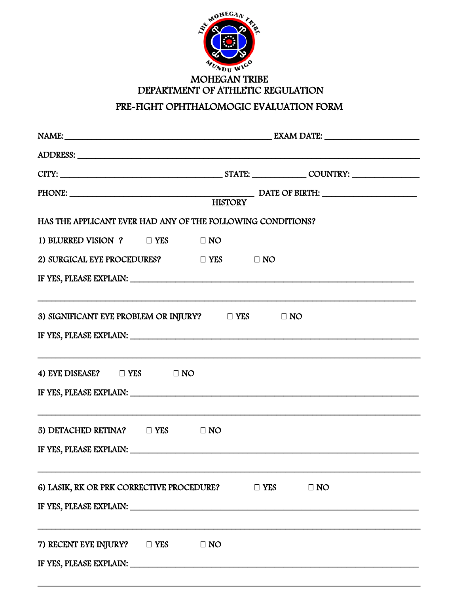

## **MOHEGAN TRIBE** DEPARTMENT OF ATHLETIC REGULATION PRE-FIGHT OPHTHALOMOGIC EVALUATION FORM

| HAS THE APPLICANT EVER HAD ANY OF THE FOLLOWING CONDITIONS?                                                                                                                                                                                                                                       |           |            |           |  |  |  |
|---------------------------------------------------------------------------------------------------------------------------------------------------------------------------------------------------------------------------------------------------------------------------------------------------|-----------|------------|-----------|--|--|--|
| 1) BLURRED VISION ? DYES DNO                                                                                                                                                                                                                                                                      |           |            |           |  |  |  |
| 2) SURGICAL EYE PROCEDURES? $\Box$ YES $\Box$ NO                                                                                                                                                                                                                                                  |           |            |           |  |  |  |
|                                                                                                                                                                                                                                                                                                   |           |            |           |  |  |  |
| 3) SIGNIFICANT EYE PROBLEM OR INJURY? $\square$ YES $\square$ NO<br>IF YES, PLEASE EXPLAIN: University of the set of the set of the set of the set of the set of the set of the set of the set of the set of the set of the set of the set of the set of the set of the set of the set of the set |           |            |           |  |  |  |
| 4) EYE DISEASE? □ YES □ NO<br>IF YES, PLEASE EXPLAIN: University of the Second Press, PLEASE EXPLAIN:                                                                                                                                                                                             |           |            |           |  |  |  |
| 5) DETACHED RETINA? $\Box$ YES $\Box$ NO<br>IF YES, PLEASE EXPLAIN: University of the state of the state of the state of the state of the state of the state of the state of the state of the state of the state of the state of the state of the state of the state of th                        |           |            |           |  |  |  |
| 6) LASIK, RK OR PRK CORRECTIVE PROCEDURE?                                                                                                                                                                                                                                                         |           | $\Box$ YES | $\Box$ NO |  |  |  |
| 7) RECENT EYE INJURY? □ YES                                                                                                                                                                                                                                                                       | $\Box$ NO |            |           |  |  |  |